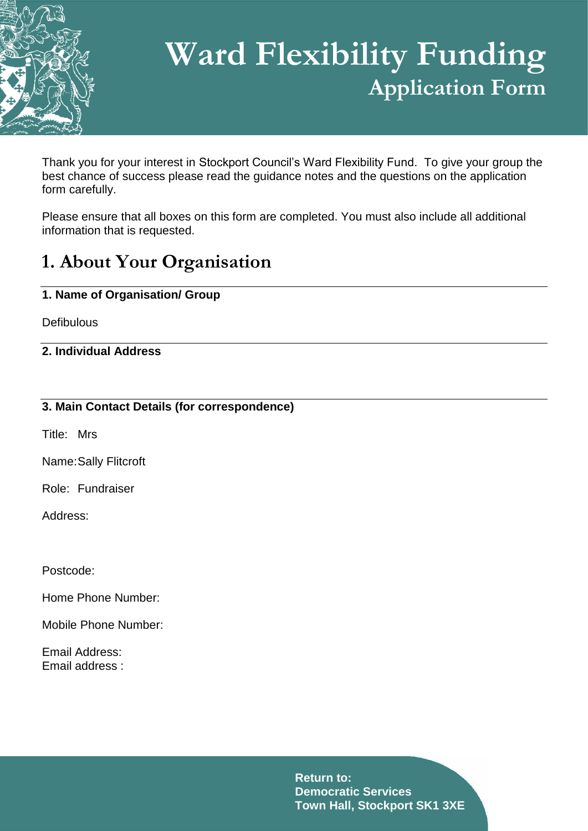

# **Ward Flexibility Funding Application Form**

Thank you for your interest in Stockport Council's Ward Flexibility Fund. To give your group the best chance of success please read the guidance notes and the questions on the application form carefully.

Please ensure that all boxes on this form are completed. You must also include all additional information that is requested.

### **1. About Your Organisation**

#### **1. Name of Organisation/ Group**

**Defibulous** 

#### **2. Individual Address**

#### **3. Main Contact Details (for correspondence)**

Title: Mrs

Name:Sally Flitcroft

Role: Fundraiser

Address:

Postcode:

Home Phone Number:

Mobile Phone Number:

Email Address: Email address :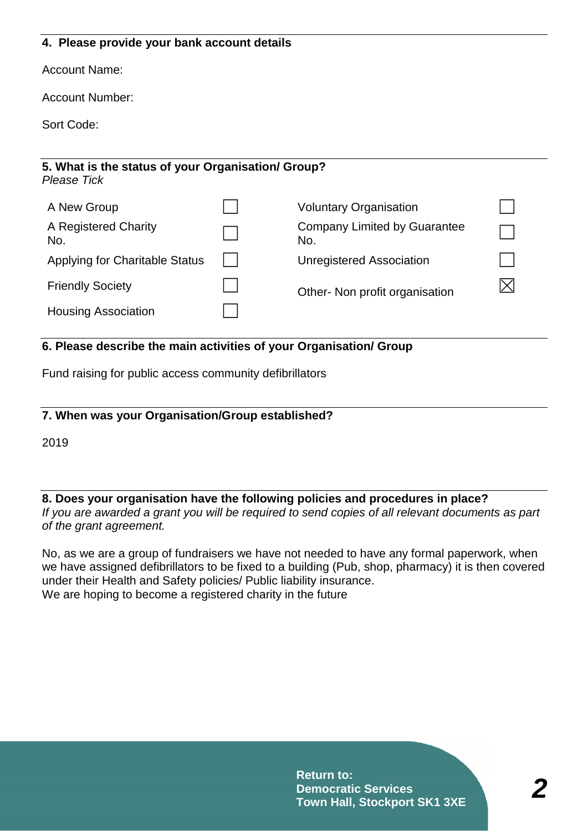#### **4. Please provide your bank account details**

Account Name:

Account Number:

Sort Code:

### **5. What is the status of your Organisation/ Group?**  *Please Tick* A New Group  $\vert \vert$  Voluntary Organisation A Registered Charity No. ☐ Company Limited by Guarantee No. ☐ Applying for Charitable Status │ │ Unregistered Association Friendly Society  $\Box$  Other- Non profit organisation  $\boxtimes$ Housing Association ☐

#### **6. Please describe the main activities of your Organisation/ Group**

Fund raising for public access community defibrillators

#### **7. When was your Organisation/Group established?**

2019

#### **8. Does your organisation have the following policies and procedures in place?**  *If you are awarded a grant you will be required to send copies of all relevant documents as part of the grant agreement.*

No, as we are a group of fundraisers we have not needed to have any formal paperwork, when we have assigned defibrillators to be fixed to a building (Pub, shop, pharmacy) it is then covered under their Health and Safety policies/ Public liability insurance. We are hoping to become a registered charity in the future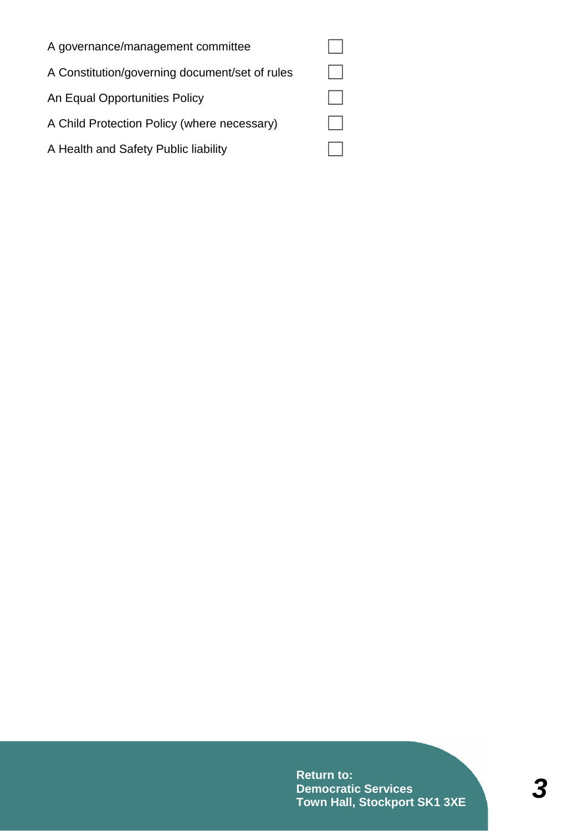| A governance/management committee              |  |
|------------------------------------------------|--|
| A Constitution/governing document/set of rules |  |
| An Equal Opportunities Policy                  |  |
| A Child Protection Policy (where necessary)    |  |
| A Health and Safety Public liability           |  |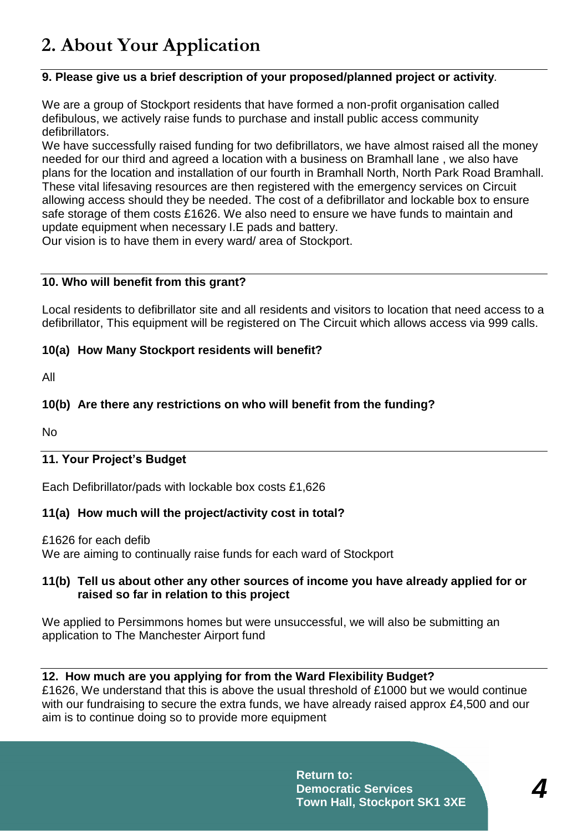### **2. About Your Application**

#### **9. Please give us a brief description of your proposed/planned project or activity***.*

We are a group of Stockport residents that have formed a non-profit organisation called defibulous, we actively raise funds to purchase and install public access community defibrillators.

We have successfully raised funding for two defibrillators, we have almost raised all the money needed for our third and agreed a location with a business on Bramhall lane , we also have plans for the location and installation of our fourth in Bramhall North, North Park Road Bramhall. These vital lifesaving resources are then registered with the emergency services on Circuit allowing access should they be needed. The cost of a defibrillator and lockable box to ensure safe storage of them costs £1626. We also need to ensure we have funds to maintain and update equipment when necessary I.E pads and battery.

Our vision is to have them in every ward/ area of Stockport.

#### **10. Who will benefit from this grant?**

Local residents to defibrillator site and all residents and visitors to location that need access to a defibrillator, This equipment will be registered on The Circuit which allows access via 999 calls.

#### **10(a) How Many Stockport residents will benefit?**

All

#### **10(b) Are there any restrictions on who will benefit from the funding?**

No

#### **11. Your Project's Budget**

Each Defibrillator/pads with lockable box costs £1,626

#### **11(a) How much will the project/activity cost in total?**

£1626 for each defib We are aiming to continually raise funds for each ward of Stockport

#### **11(b) Tell us about other any other sources of income you have already applied for or raised so far in relation to this project**

We applied to Persimmons homes but were unsuccessful, we will also be submitting an application to The Manchester Airport fund

#### **12. How much are you applying for from the Ward Flexibility Budget?**

£1626, We understand that this is above the usual threshold of £1000 but we would continue with our fundraising to secure the extra funds, we have already raised approx £4,500 and our aim is to continue doing so to provide more equipment

> **Return to: Democratic Services Town Hall, Stockport SK1 3XE**

*4*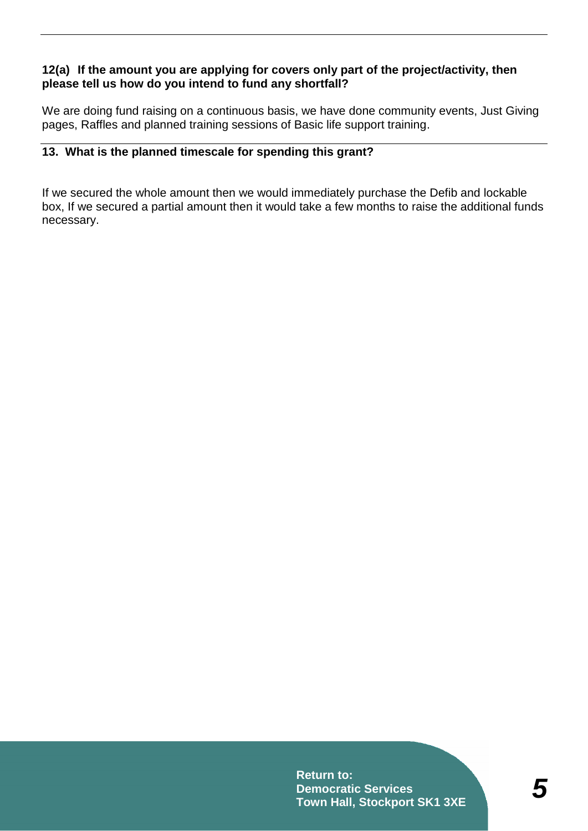#### **12(a) If the amount you are applying for covers only part of the project/activity, then please tell us how do you intend to fund any shortfall?**

We are doing fund raising on a continuous basis, we have done community events, Just Giving pages, Raffles and planned training sessions of Basic life support training.

#### **13. What is the planned timescale for spending this grant?**

If we secured the whole amount then we would immediately purchase the Defib and lockable box, If we secured a partial amount then it would take a few months to raise the additional funds necessary.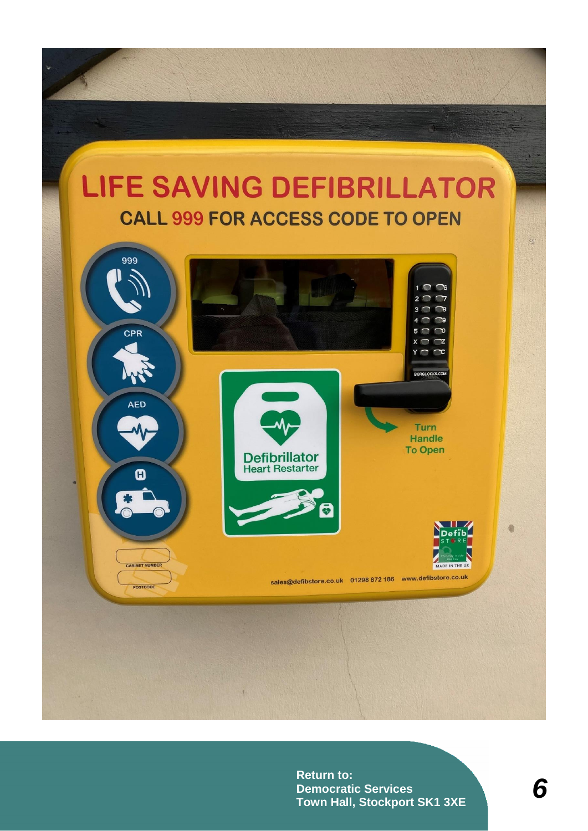## LIFE SAVING DEFIBRILLATOR **CALL 999 FOR ACCESS CODE TO OPEN**

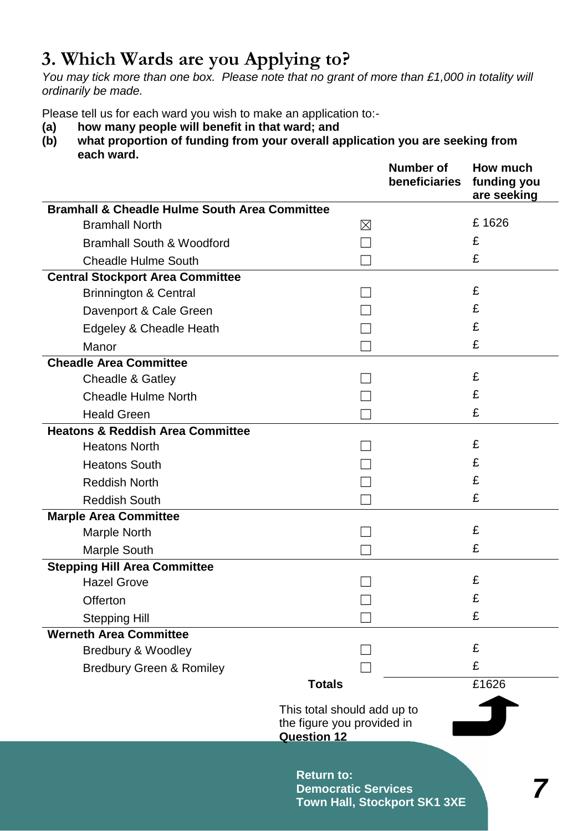### **3. Which Wards are you Applying to?**

*You may tick more than one box. Please note that no grant of more than £1,000 in totality will ordinarily be made.*

Please tell us for each ward you wish to make an application to:-

- **(a) how many people will benefit in that ward; and**
- **(b) what proportion of funding from your overall application you are seeking from each ward.**

|                                                          | <b>Number of</b><br>beneficiaries                                               | How much<br>funding you<br>are seeking |
|----------------------------------------------------------|---------------------------------------------------------------------------------|----------------------------------------|
| <b>Bramhall &amp; Cheadle Hulme South Area Committee</b> |                                                                                 |                                        |
| <b>Bramhall North</b>                                    | ⊠                                                                               | £1626                                  |
| <b>Bramhall South &amp; Woodford</b>                     |                                                                                 | £                                      |
| <b>Cheadle Hulme South</b>                               |                                                                                 | £                                      |
| <b>Central Stockport Area Committee</b>                  |                                                                                 |                                        |
| <b>Brinnington &amp; Central</b>                         |                                                                                 | £                                      |
| Davenport & Cale Green                                   |                                                                                 | £                                      |
| Edgeley & Cheadle Heath                                  |                                                                                 | £                                      |
| Manor                                                    |                                                                                 | £                                      |
| <b>Cheadle Area Committee</b>                            |                                                                                 |                                        |
| Cheadle & Gatley                                         |                                                                                 | £                                      |
| <b>Cheadle Hulme North</b>                               |                                                                                 | £                                      |
| <b>Heald Green</b>                                       |                                                                                 | £                                      |
| <b>Heatons &amp; Reddish Area Committee</b>              |                                                                                 |                                        |
| <b>Heatons North</b>                                     |                                                                                 | £                                      |
| <b>Heatons South</b>                                     |                                                                                 | £                                      |
| <b>Reddish North</b>                                     |                                                                                 | £                                      |
| <b>Reddish South</b>                                     |                                                                                 | £                                      |
| <b>Marple Area Committee</b>                             |                                                                                 |                                        |
| <b>Marple North</b>                                      |                                                                                 | £                                      |
| <b>Marple South</b>                                      |                                                                                 | £                                      |
| <b>Stepping Hill Area Committee</b>                      |                                                                                 |                                        |
| <b>Hazel Grove</b>                                       |                                                                                 | £                                      |
| Offerton                                                 |                                                                                 | £                                      |
| <b>Stepping Hill</b>                                     |                                                                                 | £                                      |
| <b>Werneth Area Committee</b>                            |                                                                                 |                                        |
| Bredbury & Woodley                                       |                                                                                 | £                                      |
| <b>Bredbury Green &amp; Romiley</b>                      |                                                                                 | £                                      |
|                                                          | <b>Totals</b>                                                                   | £1626                                  |
|                                                          | This total should add up to<br>the figure you provided in<br><b>Question 12</b> |                                        |
|                                                          | <b>Return to:</b><br><b>Democratic Services</b><br>Town Hall, Stockport SK1 3XE |                                        |